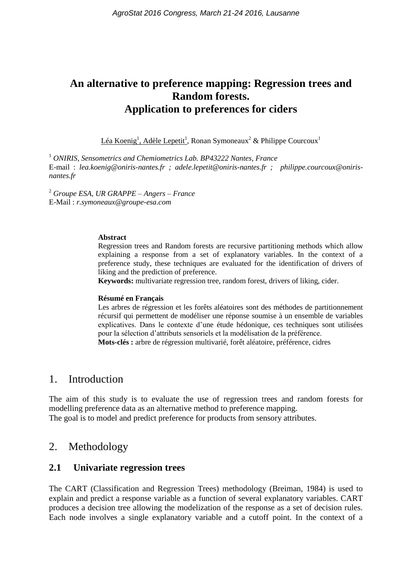# **An alternative to preference mapping: Regression trees and Random forests. Application to preferences for ciders**

Léa Koenig<sup>1</sup>, Adèle Lepetit<sup>1</sup>, Ronan Symoneaux<sup>2</sup> & Philippe Courcoux<sup>1</sup>

<sup>1</sup> *ONIRIS, Sensometrics and Chemiometrics Lab. BP43222 Nantes, France* E-mail : *[lea.koenig@oniris-nantes.fr](mailto:lea.koenig@oniris-nantes.fr) ; [adele.lepetit@oniris-nantes.fr](mailto:adele.lepetit@oniris-nantes.fr) ; philippe.courcoux@onirisnantes.fr*

<sup>2</sup> *Groupe ESA, UR GRAPPE – Angers – France* E-Mail : *r.symoneaux@groupe-esa.com*

#### **Abstract**

Regression trees and Random forests are recursive partitioning methods which allow explaining a response from a set of explanatory variables. In the context of a preference study, these techniques are evaluated for the identification of drivers of liking and the prediction of preference.

**Keywords:** multivariate regression tree, random forest, drivers of liking, cider.

#### **Résumé en Français**

Les arbres de régression et les forêts aléatoires sont des méthodes de partitionnement récursif qui permettent de modéliser une réponse soumise à un ensemble de variables explicatives. Dans le contexte d'une étude hédonique, ces techniques sont utilisées pour la sélection d'attributs sensoriels et la modélisation de la préférence. **Mots-clés :** arbre de régression multivarié, forêt aléatoire, préférence, cidres

#### 1. Introduction

The aim of this study is to evaluate the use of regression trees and random forests for modelling preference data as an alternative method to preference mapping.

The goal is to model and predict preference for products from sensory attributes.

# 2. Methodology

#### **2.1 Univariate regression trees**

The CART (Classification and Regression Trees) methodology (Breiman, 1984) is used to explain and predict a response variable as a function of several explanatory variables. CART produces a decision tree allowing the modelization of the response as a set of decision rules. Each node involves a single explanatory variable and a cutoff point. In the context of a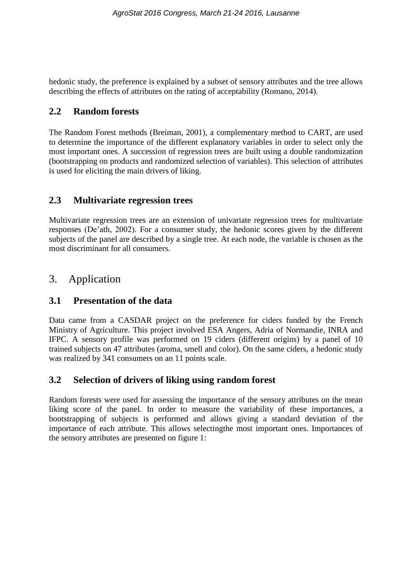hedonic study, the preference is explained by a subset of sensory attributes and the tree allows describing the effects of attributes on the rating of acceptability (Romano, 2014).

### **2.2 Random forests**

The Random Forest methods (Breiman, 2001), a complementary method to CART, are used to determine the importance of the different explanatory variables in order to select only the most important ones. A succession of regression trees are built using a double randomization (bootstrapping on products and randomized selection of variables). This selection of attributes is used for eliciting the main drivers of liking.

# **2.3 Multivariate regression trees**

Multivariate regression trees are an extension of univariate regression trees for multivariate responses (De'ath, 2002). For a consumer study, the hedonic scores given by the different subjects of the panel are described by a single tree. At each node, the variable is chosen as the most discriminant for all consumers.

# 3. Application

# **3.1 Presentation of the data**

Data came from a CASDAR project on the preference for ciders funded by the French Ministry of Agriculture. This project involved ESA Angers, Adria of Normandie, INRA and IFPC. A sensory profile was performed on 19 ciders (different origins) by a panel of 10 trained subjects on 47 attributes (aroma, smell and color). On the same ciders, a hedonic study was realized by 341 consumers on an 11 points scale.

# **3.2 Selection of drivers of liking using random forest**

Random forests were used for assessing the importance of the sensory attributes on the mean liking score of the panel. In order to measure the variability of these importances, a bootstrapping of subjects is performed and allows giving a standard deviation of the importance of each attribute. This allows selectingthe most important ones. Importances of the sensory attributes are presented on figure 1: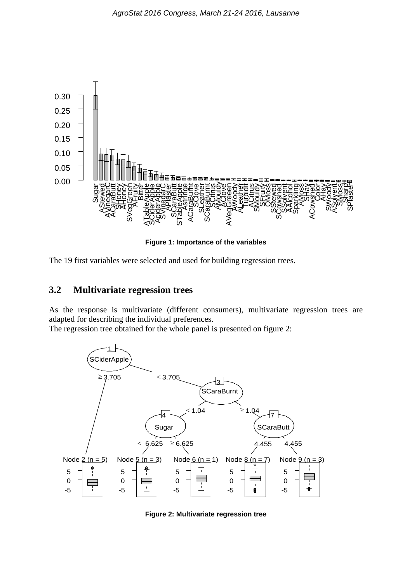

**Figure 1: Importance of the variables**

The 19 first variables were selected and used for building regression trees.

#### **3.2 Multivariate regression trees**

As the response is multivariate (different consumers), multivariate regression trees are adapted for describing the individual preferences.

The regression tree obtained for the whole panel is presented on figure 2:



**Figure 2: Multivariate regression tree**